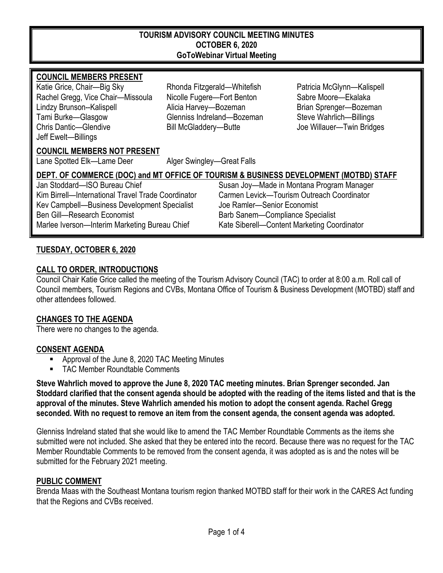#### **TOURISM ADVISORY COUNCIL MEETING MINUTES OCTOBER 6, 2020 GoToWebinar Virtual Meeting**

#### **COUNCIL MEMBERS PRESENT**

Katie Grice, Chair—Big Sky Rhonda Fitzgerald—Whitefish Patricia McGlynn—Kalispell Rachel Gregg, Vice Chair—Missoula Nicolle Fugere—Fort Benton Sabre Moore—Ekalaka Lindzy Brunson--Kalispell **Alicia Harvey—Bozeman** Brian Sprenger—Bozeman Tami Burke—Glasgow Glenniss Indreland—Bozeman Steve Wahrlich—Billings Chris Dantic—Glendive **Bill McGladdery—Butte** Joe Willauer—Twin Bridges Jeff Ewelt—Billings

#### **COUNCIL MEMBERS NOT PRESENT**

Lane Spotted Elk—Lame Deer Alger Swingley—Great Falls

# **DEPT. OF COMMERCE (DOC) and MT OFFICE OF TOURISM & BUSINESS DEVELOPMENT (MOTBD) STAFF**

Kim Birrell—International Travel Trade Coordinator Carmen Levick—Tourism Outreach Coordinator<br>Key Campbell—Business Development Specialist Joe Ramler—Senior Fconomist Kev Campbell—Business Development Specialist Ben Gill—Research Economist Barb Sanem—Compliance Specialist Marlee Iverson—Interim Marketing Bureau Chief Kate Siberell—Content Marketing Coordinator

Jan Stoddard—ISO Bureau Chief Susan Joy—Made in Montana Program Manager

#### **TUESDAY, OCTOBER 6, 2020**

#### **CALL TO ORDER, INTRODUCTIONS**

Council Chair Katie Grice called the meeting of the Tourism Advisory Council (TAC) to order at 8:00 a.m. Roll call of Council members, Tourism Regions and CVBs, Montana Office of Tourism & Business Development (MOTBD) staff and other attendees followed.

#### **CHANGES TO THE AGENDA**

There were no changes to the agenda.

#### **CONSENT AGENDA**

- Approval of the June 8, 2020 TAC Meeting Minutes
- **TAC Member Roundtable Comments**

**Steve Wahrlich moved to approve the June 8, 2020 TAC meeting minutes. Brian Sprenger seconded. Jan Stoddard clarified that the consent agenda should be adopted with the reading of the items listed and that is the approval of the minutes. Steve Wahrlich amended his motion to adopt the consent agenda. Rachel Gregg seconded. With no request to remove an item from the consent agenda, the consent agenda was adopted.**

Glenniss Indreland stated that she would like to amend the TAC Member Roundtable Comments as the items she submitted were not included. She asked that they be entered into the record. Because there was no request for the TAC Member Roundtable Comments to be removed from the consent agenda, it was adopted as is and the notes will be submitted for the February 2021 meeting.

#### **PUBLIC COMMENT**

Brenda Maas with the Southeast Montana tourism region thanked MOTBD staff for their work in the CARES Act funding that the Regions and CVBs received.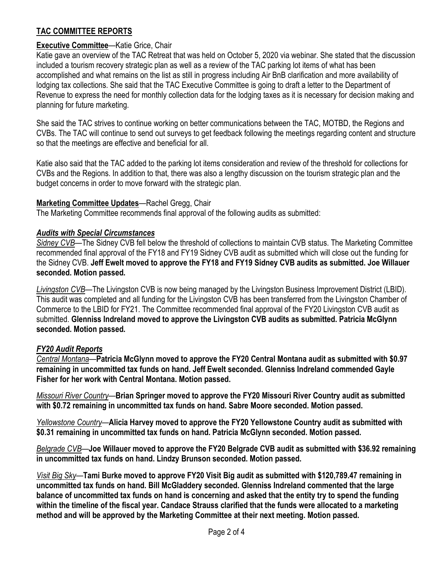## **TAC COMMITTEE REPORTS**

### **Executive Committee**—Katie Grice, Chair

Katie gave an overview of the TAC Retreat that was held on October 5, 2020 via webinar. She stated that the discussion included a tourism recovery strategic plan as well as a review of the TAC parking lot items of what has been accomplished and what remains on the list as still in progress including Air BnB clarification and more availability of lodging tax collections. She said that the TAC Executive Committee is going to draft a letter to the Department of Revenue to express the need for monthly collection data for the lodging taxes as it is necessary for decision making and planning for future marketing.

She said the TAC strives to continue working on better communications between the TAC, MOTBD, the Regions and CVBs. The TAC will continue to send out surveys to get feedback following the meetings regarding content and structure so that the meetings are effective and beneficial for all.

Katie also said that the TAC added to the parking lot items consideration and review of the threshold for collections for CVBs and the Regions. In addition to that, there was also a lengthy discussion on the tourism strategic plan and the budget concerns in order to move forward with the strategic plan.

#### **Marketing Committee Updates**—Rachel Gregg, Chair

The Marketing Committee recommends final approval of the following audits as submitted:

#### *Audits with Special Circumstances*

*Sidney CVB*—The Sidney CVB fell below the threshold of collections to maintain CVB status. The Marketing Committee recommended final approval of the FY18 and FY19 Sidney CVB audit as submitted which will close out the funding for the Sidney CVB. **Jeff Ewelt moved to approve the FY18 and FY19 Sidney CVB audits as submitted. Joe Willauer seconded. Motion passed.** 

*Livingston CVB*—The Livingston CVB is now being managed by the Livingston Business Improvement District (LBID). This audit was completed and all funding for the Livingston CVB has been transferred from the Livingston Chamber of Commerce to the LBID for FY21. The Committee recommended final approval of the FY20 Livingston CVB audit as submitted. **Glenniss Indreland moved to approve the Livingston CVB audits as submitted. Patricia McGlynn seconded. Motion passed.** 

#### *FY20 Audit Reports*

*Central Montana*—**Patricia McGlynn moved to approve the FY20 Central Montana audit as submitted with \$0.97 remaining in uncommitted tax funds on hand. Jeff Ewelt seconded. Glenniss Indreland commended Gayle Fisher for her work with Central Montana. Motion passed.** 

*Missouri River Country*—**Brian Springer moved to approve the FY20 Missouri River Country audit as submitted with \$0.72 remaining in uncommitted tax funds on hand. Sabre Moore seconded. Motion passed.** 

*Yellowstone Country*—**Alicia Harvey moved to approve the FY20 Yellowstone Country audit as submitted with \$0.31 remaining in uncommitted tax funds on hand. Patricia McGlynn seconded. Motion passed.** 

*Belgrade CVB*—**Joe Willauer moved to approve the FY20 Belgrade CVB audit as submitted with \$36.92 remaining in uncommitted tax funds on hand. Lindzy Brunson seconded. Motion passed.** 

*Visit Big Sky*—**Tami Burke moved to approve FY20 Visit Big audit as submitted with \$120,789.47 remaining in uncommitted tax funds on hand. Bill McGladdery seconded. Glenniss Indreland commented that the large balance of uncommitted tax funds on hand is concerning and asked that the entity try to spend the funding within the timeline of the fiscal year. Candace Strauss clarified that the funds were allocated to a marketing method and will be approved by the Marketing Committee at their next meeting. Motion passed.**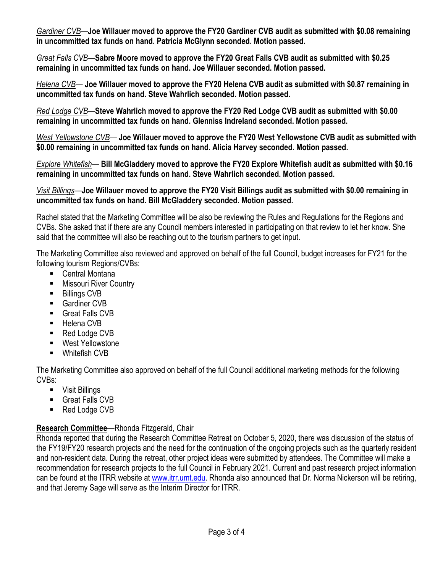*Gardiner CVB*—**Joe Willauer moved to approve the FY20 Gardiner CVB audit as submitted with \$0.08 remaining in uncommitted tax funds on hand. Patricia McGlynn seconded. Motion passed.** 

*Great Falls CVB*—**Sabre Moore moved to approve the FY20 Great Falls CVB audit as submitted with \$0.25 remaining in uncommitted tax funds on hand. Joe Willauer seconded. Motion passed.** 

*Helena CVB*— **Joe Willauer moved to approve the FY20 Helena CVB audit as submitted with \$0.87 remaining in uncommitted tax funds on hand. Steve Wahrlich seconded. Motion passed.** 

*Red Lodge CVB*—**Steve Wahrlich moved to approve the FY20 Red Lodge CVB audit as submitted with \$0.00 remaining in uncommitted tax funds on hand. Glenniss Indreland seconded. Motion passed.** 

*West Yellowstone CVB*— **Joe Willauer moved to approve the FY20 West Yellowstone CVB audit as submitted with \$0.00 remaining in uncommitted tax funds on hand. Alicia Harvey seconded. Motion passed.** 

*Explore Whitefish*— **Bill McGladdery moved to approve the FY20 Explore Whitefish audit as submitted with \$0.16 remaining in uncommitted tax funds on hand. Steve Wahrlich seconded. Motion passed.** 

*Visit Billings*—**Joe Willauer moved to approve the FY20 Visit Billings audit as submitted with \$0.00 remaining in uncommitted tax funds on hand. Bill McGladdery seconded. Motion passed.** 

Rachel stated that the Marketing Committee will be also be reviewing the Rules and Regulations for the Regions and CVBs. She asked that if there are any Council members interested in participating on that review to let her know. She said that the committee will also be reaching out to the tourism partners to get input.

The Marketing Committee also reviewed and approved on behalf of the full Council, budget increases for FY21 for the following tourism Regions/CVBs:

- Central Montana
- **Nissouri River Country**
- Billings CVB
- Gardiner CVB
- Great Falls CVB
- Helena CVB
- Red Lodge CVB
- West Yellowstone
- Whitefish CVB

The Marketing Committee also approved on behalf of the full Council additional marketing methods for the following CVBs:

- Visit Billings
- Great Falls CVB
- Red Lodge CVB

## **Research Committee**—Rhonda Fitzgerald, Chair

Rhonda reported that during the Research Committee Retreat on October 5, 2020, there was discussion of the status of the FY19/FY20 research projects and the need for the continuation of the ongoing projects such as the quarterly resident and non-resident data. During the retreat, other project ideas were submitted by attendees. The Committee will make a recommendation for research projects to the full Council in February 2021. Current and past research project information can be found at the ITRR website at [www.itrr.umt.edu.](http://www.itrr.umt.edu/) Rhonda also announced that Dr. Norma Nickerson will be retiring, and that Jeremy Sage will serve as the Interim Director for ITRR.